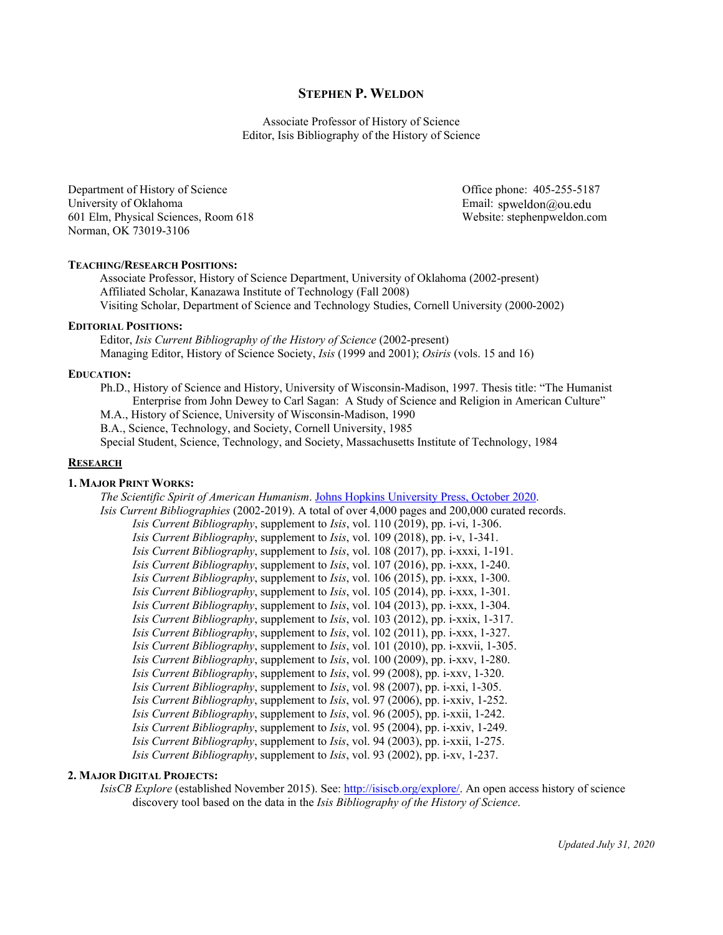# **STEPHEN P. WELDON**

Associate Professor of History of Science Editor, Isis Bibliography of the History of Science

Department of History of Science University of Oklahoma 601 Elm, Physical Sciences, Room 618 Norman, OK 73019-3106

Email: spweldon@ou.edu Office phone: 405-255-5187 Website: stephenpweldon.com

# **TEACHING/RESEARCH POSITIONS:**

Associate Professor, History of Science Department, University of Oklahoma (2002-present) Affiliated Scholar, Kanazawa Institute of Technology (Fall 2008) Visiting Scholar, Department of Science and Technology Studies, Cornell University (2000-2002)

#### **EDITORIAL POSITIONS:**

Editor, *Isis Current Bibliography of the History of Science* (2002-present) Managing Editor, History of Science Society, *Isis* (1999 and 2001); *Osiris* (vols. 15 and 16)

#### **EDUCATION:**

Ph.D., History of Science and History, University of Wisconsin-Madison, 1997. Thesis title: "The Humanist Enterprise from John Dewey to Carl Sagan: A Study of Science and Religion in American Culture"

M.A., History of Science, University of Wisconsin-Madison, 1990

B.A., Science, Technology, and Society, Cornell University, 1985

Special Student, Science, Technology, and Society, Massachusetts Institute of Technology, 1984

### **RESEARCH**

## **1. MAJOR PRINT WORKS:**

*The Scientific Spirit of American Humanism*. [Johns Hopkins University Press, October](https://jhupbooks.press.jhu.edu/title/scientific-spirit-american-humanism) 2020.

*Isis Current Bibliographies* (2002-2019). A total of over 4,000 pages and 200,000 curated records. *Isis Current Bibliography*, supplement to *Isis*, vol. 110 (2019), pp. i-vi, 1-306. *Isis Current Bibliography*, supplement to *Isis*, vol. 109 (2018), pp. i-v, 1-341. *Isis Current Bibliography*, supplement to *Isis*, vol. 108 (2017), pp. i-xxxi, 1-191. *Isis Current Bibliography*, supplement to *Isis*, vol. 107 (2016), pp. i-xxx, 1-240. *Isis Current Bibliography*, supplement to *Isis*, vol. 106 (2015), pp. i-xxx, 1-300. *Isis Current Bibliography*, supplement to *Isis*, vol. 105 (2014), pp. i-xxx, 1-301. *Isis Current Bibliography*, supplement to *Isis*, vol. 104 (2013), pp. i-xxx, 1-304. *Isis Current Bibliography*, supplement to *Isis*, vol. 103 (2012), pp. i-xxix, 1-317. *Isis Current Bibliography*, supplement to *Isis*, vol. 102 (2011), pp. i-xxx, 1-327. *Isis Current Bibliography*, supplement to *Isis*, vol. 101 (2010), pp. i-xxvii, 1-305. *Isis Current Bibliography*, supplement to *Isis*, vol. 100 (2009), pp. i-xxv, 1-280. *Isis Current Bibliography*, supplement to *Isis*, vol. 99 (2008), pp. i-xxv, 1-320. *Isis Current Bibliography*, supplement to *Isis*, vol. 98 (2007), pp. i-xxi, 1-305. *Isis Current Bibliography*, supplement to *Isis*, vol. 97 (2006), pp. i-xxiv, 1-252. *Isis Current Bibliography*, supplement to *Isis*, vol. 96 (2005), pp. i-xxii, 1-242. *Isis Current Bibliography*, supplement to *Isis*, vol. 95 (2004), pp. i-xxiv, 1-249. *Isis Current Bibliography*, supplement to *Isis*, vol. 94 (2003), pp. i-xxii, 1-275. *Isis Current Bibliography*, supplement to *Isis*, vol. 93 (2002), pp. i-xv, 1-237.

## **2. MAJOR DIGITAL PROJECTS:**

*IsisCB Explore* (established November 2015). See: [http://isiscb.org/explore/.](http://isiscb.org/explore/) An open access history of science discovery tool based on the data in the *Isis Bibliography of the History of Science*.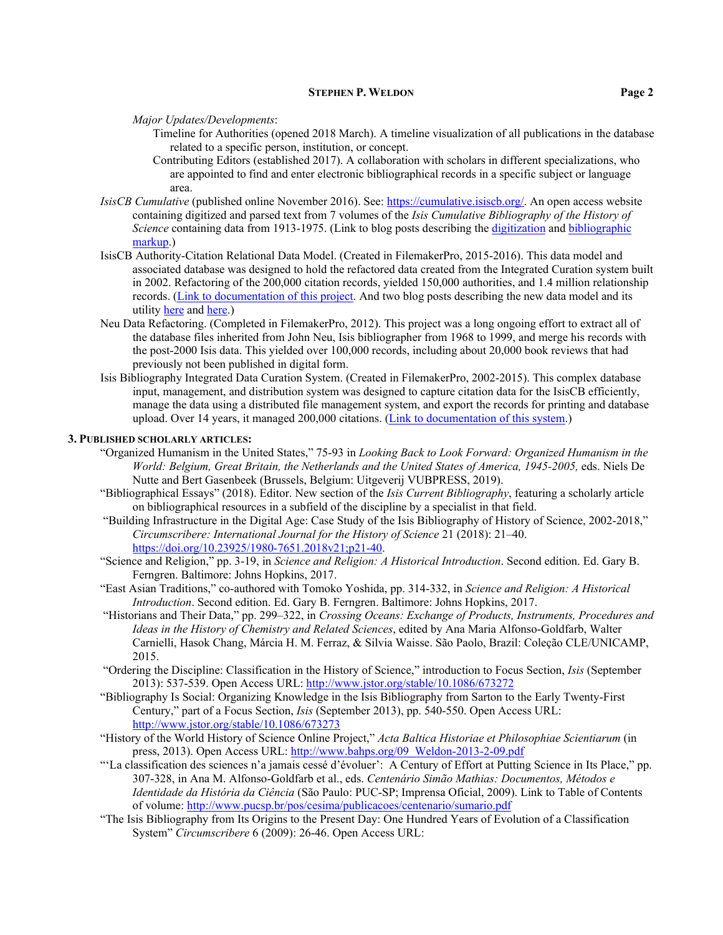*Major Updates/Developments*:

- Timeline for Authorities (opened 2018 March). A timeline visualization of all publications in the database related to a specific person, institution, or concept.
- Contributing Editors (established 2017). A collaboration with scholars in different specializations, who are appointed to find and enter electronic bibliographical records in a specific subject or language area.
- *IsisCB Cumulative* (published online November 2016). See[: https://cumulative.isiscb.org/.](https://cumulative.isiscb.org/) An open access website containing digitized and parsed text from 7 volumes of the *Isis Cumulative Bibliography of the History of Science* containing data from 1913-1975. (Link to blog posts describing th[e digitization](https://isiscb.org/isiscb-cumulative/digitizing-the-cumulative-bibliography/) and bibliographic [markup.](https://isiscb.org/isiscb-explore/a-new-paradigm/))
- IsisCB Authority-Citation Relational Data Model. (Created in FilemakerPro, 2015-2016). This data model and associated database was designed to hold the refactored data created from the Integrated Curation system built in 2002. Refactoring of the 200,000 citation records, yielded 150,000 authorities, and 1.4 million relationship records. [\(Link to documentation of this project.](http://stephenpweldon.com/wp-content/uploads/2016/12/Isis-CB-Database-System-2015.zip) And two blog posts describing the new data model and its utilit[y here](https://isiscb.org/isiscb-explore/taking-the-isiscb-into-a-dynamic-interdependent-world/) and [here.](https://isiscb.org/isiscb-explore/taking-the-isiscb-into-a-dynamic-interdependent-world/))
- Neu Data Refactoring. (Completed in FilemakerPro, 2012). This project was a long ongoing effort to extract all of the database files inherited from John Neu, Isis bibliographer from 1968 to 1999, and merge his records with the post-2000 Isis data. This yielded over 100,000 records, including about 20,000 book reviews that had previously not been published in digital form.
- Isis Bibliography Integrated Data Curation System. (Created in FilemakerPro, 2002-2015). This complex database input, management, and distribution system was designed to capture citation data for the IsisCB efficiently, manage the data using a distributed file management system, and export the records for printing and database upload. Over 14 years, it managed 200,000 citations. (Link to [documentation of this system.](http://stephenpweldon.com/wp-content/uploads/2016/12/Isis-CB-Database-System-2002.zip))

### **3. PUBLISHED SCHOLARLY ARTICLES:**

- "Organized Humanism in the United States," 75-93 in *Looking Back to Look Forward: Organized Humanism in the World: Belgium, Great Britain, the Netherlands and the United States of America, 1945-2005,* eds. Niels De Nutte and Bert Gasenbeek (Brussels, Belgium: Uitgeverij VUBPRESS, 2019).
- "Bibliographical Essays" (2018). Editor. New section of the *Isis Current Bibliography*, featuring a scholarly article on bibliographical resources in a subfield of the discipline by a specialist in that field.
- "Building Infrastructure in the Digital Age: Case Study of the Isis Bibliography of History of Science, 2002-2018," *Circumscribere: International Journal for the History of Science* 21 (2018): 21–40. [https://doi.org/10.23925/1980-7651.2018v21;p21-40.](https://doi.org/10.23925/1980-7651.2018v21;p21-40)
- "Science and Religion," pp. 3-19, in *Science and Religion: A Historical Introduction*. Second edition. Ed. Gary B. Ferngren. Baltimore: Johns Hopkins, 2017.
- "East Asian Traditions," co-authored with Tomoko Yoshida, pp. 314-332, in *Science and Religion: A Historical Introduction*. Second edition. Ed. Gary B. Ferngren. Baltimore: Johns Hopkins, 2017.
- "Historians and Their Data," pp. 299–322, in *Crossing Oceans: Exchange of Products, Instruments, Procedures and Ideas in the History of Chemistry and Related Sciences*, edited by Ana Maria Alfonso-Goldfarb, Walter Carnielli, Hasok Chang, Márcia H. M. Ferraz, & Silvia Waisse. São Paolo, Brazil: Coleção CLE/UNICAMP, 2015.
- "Ordering the Discipline: Classification in the History of Science," introduction to Focus Section, *Isis* (September 2013): 537-539. Open Access URL[: http://www.jstor.org/stable/10.1086/673272](http://www.jstor.org/stable/10.1086/673272)
- "Bibliography Is Social: Organizing Knowledge in the Isis Bibliography from Sarton to the Early Twenty-First Century," part of a Focus Section, *Isis* (September 2013), pp. 540-550. Open Access URL: <http://www.jstor.org/stable/10.1086/673273>
- "History of the World History of Science Online Project," *Acta Baltica Historiae et Philosophiae Scientiarum* (in press, 2013). Open Access URL: [http://www.bahps.org/09\\_Weldon-2013-2-09.pdf](http://www.bahps.org/09_Weldon-2013-2-09.pdf)
- "'La classification des sciences n'a jamais cessé d'évoluer': A Century of Effort at Putting Science in Its Place," pp. 307-328, in Ana M. Alfonso-Goldfarb et al., eds. *Centenário Simão Mathias: Documentos, Métodos e Identidade da História da Ciência* (São Paulo: PUC-SP; Imprensa Oficial, 2009). Link to Table of Contents of volume:<http://www.pucsp.br/pos/cesima/publicacoes/centenario/sumario.pdf>
- "The Isis Bibliography from Its Origins to the Present Day: One Hundred Years of Evolution of a Classification System" *Circumscribere* 6 (2009): 26-46. Open Access URL: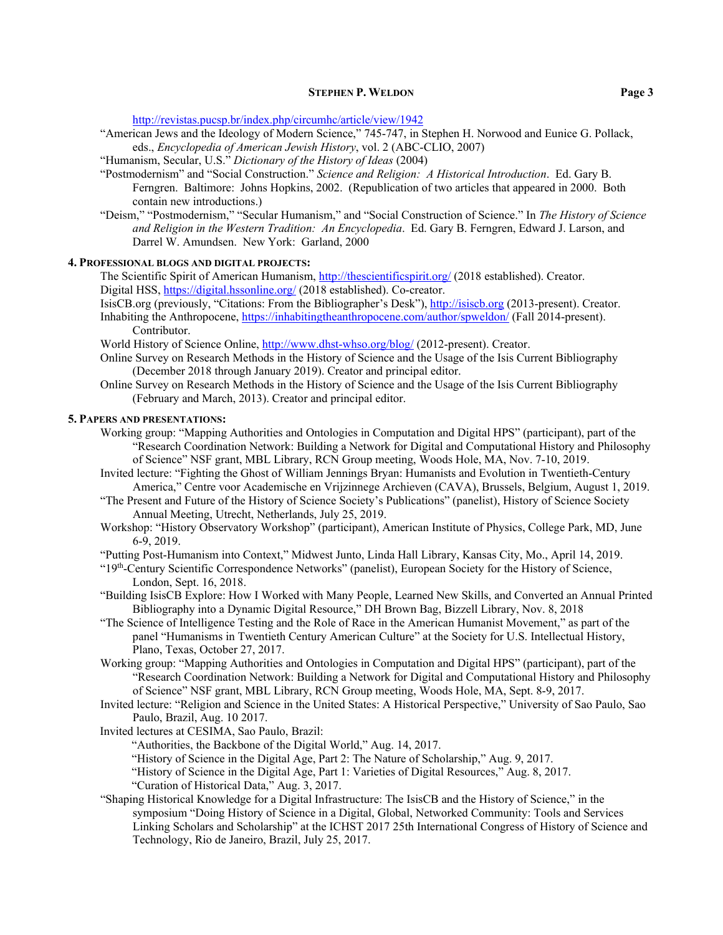<http://revistas.pucsp.br/index.php/circumhc/article/view/1942>

- "American Jews and the Ideology of Modern Science," 745-747, in Stephen H. Norwood and Eunice G. Pollack, eds., *Encyclopedia of American Jewish History*, vol. 2 (ABC-CLIO, 2007)
- "Humanism, Secular, U.S." *Dictionary of the History of Ideas* (2004)
- "Postmodernism" and "Social Construction." *Science and Religion: A Historical Introduction*. Ed. Gary B. Ferngren. Baltimore: Johns Hopkins, 2002. (Republication of two articles that appeared in 2000. Both contain new introductions.)
- "Deism," "Postmodernism," "Secular Humanism," and "Social Construction of Science." In *The History of Science and Religion in the Western Tradition: An Encyclopedia*. Ed. Gary B. Ferngren, Edward J. Larson, and Darrel W. Amundsen. New York: Garland, 2000

# **4. PROFESSIONAL BLOGS AND DIGITAL PROJECTS:**

The Scientific Spirit of American Humanism, <http://thescientificspirit.org/> (2018 established). Creator. Digital HSS[, https://digital.hssonline.org/](https://digital.hssonline.org/) (2018 established). Co-creator.

- IsisCB.org (previously, "Citations: From the Bibliographer's Desk"), [http://isiscb.org](http://isiscb.org/) (2013-present). Creator. Inhabiting the Anthropocene,<https://inhabitingtheanthropocene.com/author/spweldon/> (Fall 2014-present). Contributor.
- World History of Science Online,<http://www.dhst-whso.org/blog/> (2012-present). Creator.
- Online Survey on Research Methods in the History of Science and the Usage of the Isis Current Bibliography (December 2018 through January 2019). Creator and principal editor.
- Online Survey on Research Methods in the History of Science and the Usage of the Isis Current Bibliography (February and March, 2013). Creator and principal editor.

#### **5. PAPERS AND PRESENTATIONS:**

- Working group: "Mapping Authorities and Ontologies in Computation and Digital HPS" (participant), part of the "Research Coordination Network: Building a Network for Digital and Computational History and Philosophy of Science" NSF grant, MBL Library, RCN Group meeting, Woods Hole, MA, Nov. 7-10, 2019.
- Invited lecture: "Fighting the Ghost of William Jennings Bryan: Humanists and Evolution in Twentieth-Century America," Centre voor Academische en Vrijzinnege Archieven (CAVA), Brussels, Belgium, August 1, 2019.
- "The Present and Future of the History of Science Society's Publications" (panelist), History of Science Society Annual Meeting, Utrecht, Netherlands, July 25, 2019.
- Workshop: "History Observatory Workshop" (participant), American Institute of Physics, College Park, MD, June 6-9, 2019.
- "Putting Post-Humanism into Context," Midwest Junto, Linda Hall Library, Kansas City, Mo., April 14, 2019.
- $"19<sup>th</sup>$ -Century Scientific Correspondence Networks" (panelist), European Society for the History of Science, London, Sept. 16, 2018.
- "Building IsisCB Explore: How I Worked with Many People, Learned New Skills, and Converted an Annual Printed Bibliography into a Dynamic Digital Resource," DH Brown Bag, Bizzell Library, Nov. 8, 2018
- "The Science of Intelligence Testing and the Role of Race in the American Humanist Movement," as part of the panel "Humanisms in Twentieth Century American Culture" at the Society for U.S. Intellectual History, Plano, Texas, October 27, 2017.
- Working group: "Mapping Authorities and Ontologies in Computation and Digital HPS" (participant), part of the "Research Coordination Network: Building a Network for Digital and Computational History and Philosophy of Science" NSF grant, MBL Library, RCN Group meeting, Woods Hole, MA, Sept. 8-9, 2017.
- Invited lecture: "Religion and Science in the United States: A Historical Perspective," University of Sao Paulo, Sao Paulo, Brazil, Aug. 10 2017.
- Invited lectures at CESIMA, Sao Paulo, Brazil:
	- "Authorities, the Backbone of the Digital World," Aug. 14, 2017.
	- "History of Science in the Digital Age, Part 2: The Nature of Scholarship," Aug. 9, 2017.
	- "History of Science in the Digital Age, Part 1: Varieties of Digital Resources," Aug. 8, 2017.
	- "Curation of Historical Data," Aug. 3, 2017.
- "Shaping Historical Knowledge for a Digital Infrastructure: The IsisCB and the History of Science," in the symposium "Doing History of Science in a Digital, Global, Networked Community: Tools and Services Linking Scholars and Scholarship" at the ICHST 2017 25th International Congress of History of Science and Technology, Rio de Janeiro, Brazil, July 25, 2017.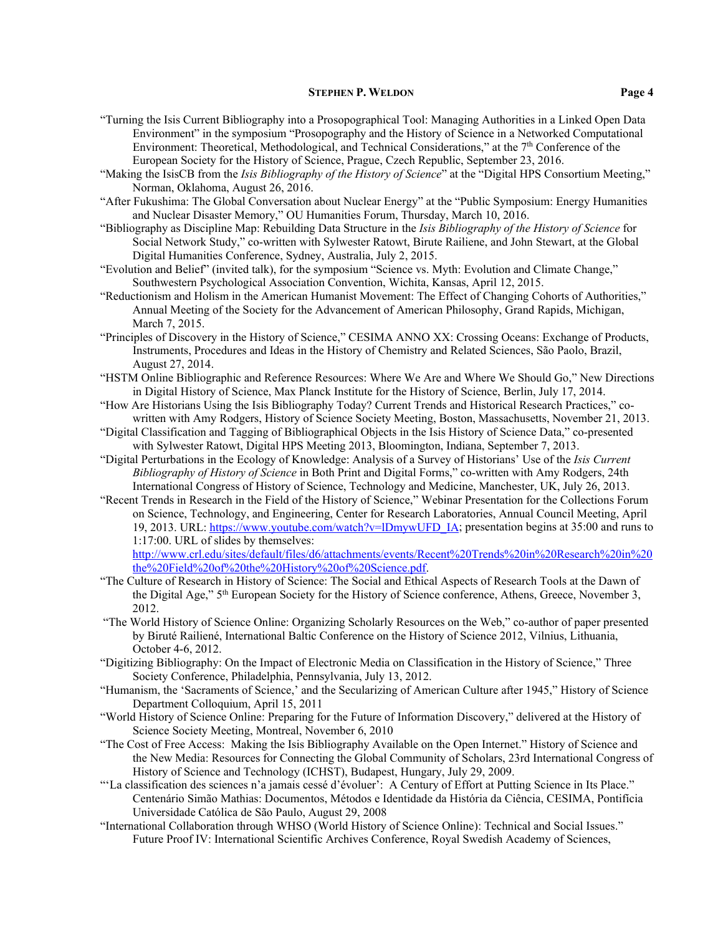- "Turning the Isis Current Bibliography into a Prosopographical Tool: Managing Authorities in a Linked Open Data Environment" in the symposium "Prosopography and the History of Science in a Networked Computational Environment: Theoretical, Methodological, and Technical Considerations," at the 7th Conference of the European Society for the History of Science, Prague, Czech Republic, September 23, 2016.
- "Making the IsisCB from the *Isis Bibliography of the History of Science*" at the "Digital HPS Consortium Meeting," Norman, Oklahoma, August 26, 2016.
- "After Fukushima: The Global Conversation about Nuclear Energy" at the "Public Symposium: Energy Humanities and Nuclear Disaster Memory," OU Humanities Forum, Thursday, March 10, 2016.
- "Bibliography as Discipline Map: Rebuilding Data Structure in the *Isis Bibliography of the History of Science* for Social Network Study," co-written with Sylwester Ratowt, Birute Railiene, and John Stewart, at the Global Digital Humanities Conference, Sydney, Australia, July 2, 2015.
- "Evolution and Belief" (invited talk), for the symposium "Science vs. Myth: Evolution and Climate Change," Southwestern Psychological Association Convention, Wichita, Kansas, April 12, 2015.
- "Reductionism and Holism in the American Humanist Movement: The Effect of Changing Cohorts of Authorities," Annual Meeting of the Society for the Advancement of American Philosophy, Grand Rapids, Michigan, March 7, 2015.
- "Principles of Discovery in the History of Science," CESIMA ANNO XX: Crossing Oceans: Exchange of Products, Instruments, Procedures and Ideas in the History of Chemistry and Related Sciences, São Paolo, Brazil, August 27, 2014.
- "HSTM Online Bibliographic and Reference Resources: Where We Are and Where We Should Go," New Directions in Digital History of Science, Max Planck Institute for the History of Science, Berlin, July 17, 2014.
- "How Are Historians Using the Isis Bibliography Today? Current Trends and Historical Research Practices," cowritten with Amy Rodgers, History of Science Society Meeting, Boston, Massachusetts, November 21, 2013.
- "Digital Classification and Tagging of Bibliographical Objects in the Isis History of Science Data," co-presented with Sylwester Ratowt, Digital HPS Meeting 2013, Bloomington, Indiana, September 7, 2013.
- "Digital Perturbations in the Ecology of Knowledge: Analysis of a Survey of Historians' Use of the *Isis Current Bibliography of History of Science* in Both Print and Digital Forms," co-written with Amy Rodgers, 24th International Congress of History of Science, Technology and Medicine, Manchester, UK, July 26, 2013.
- "Recent Trends in Research in the Field of the History of Science," Webinar Presentation for the Collections Forum on Science, Technology, and Engineering, Center for Research Laboratories, Annual Council Meeting, April 19, 2013. URL[: https://www.youtube.com/watch?v=lDmywUFD\\_IA;](https://www.youtube.com/watch?v=lDmywUFD_IA) presentation begins at 35:00 and runs to 1:17:00. URL of slides by themselves:

[http://www.crl.edu/sites/default/files/d6/attachments/events/Recent%20Trends%20in%20Research%20in%20](http://www.crl.edu/sites/default/files/d6/attachments/events/Recent%20Trends%20in%20Research%20in%20the%20Field%20of%20the%20History%20of%20Science.pdf) [the%20Field%20of%20the%20History%20of%20Science.pdf.](http://www.crl.edu/sites/default/files/d6/attachments/events/Recent%20Trends%20in%20Research%20in%20the%20Field%20of%20the%20History%20of%20Science.pdf)

- "The Culture of Research in History of Science: The Social and Ethical Aspects of Research Tools at the Dawn of the Digital Age," 5<sup>th</sup> European Society for the History of Science conference, Athens, Greece, November 3, 2012.
- "The World History of Science Online: Organizing Scholarly Resources on the Web," co-author of paper presented by Biruté Railiené, International Baltic Conference on the History of Science 2012, Vilnius, Lithuania, October 4-6, 2012.
- "Digitizing Bibliography: On the Impact of Electronic Media on Classification in the History of Science," Three Society Conference, Philadelphia, Pennsylvania, July 13, 2012.
- "Humanism, the 'Sacraments of Science,' and the Secularizing of American Culture after 1945," History of Science Department Colloquium, April 15, 2011
- "World History of Science Online: Preparing for the Future of Information Discovery," delivered at the History of Science Society Meeting, Montreal, November 6, 2010
- "The Cost of Free Access: Making the Isis Bibliography Available on the Open Internet." History of Science and the New Media: Resources for Connecting the Global Community of Scholars, 23rd International Congress of History of Science and Technology (ICHST), Budapest, Hungary, July 29, 2009.
- "'La classification des sciences n'a jamais cessé d'évoluer': A Century of Effort at Putting Science in Its Place." Centenário Simão Mathias: Documentos, Métodos e Identidade da História da Ciência, CESIMA, Pontifícia Universidade Católica de São Paulo, August 29, 2008
- "International Collaboration through WHSO (World History of Science Online): Technical and Social Issues." Future Proof IV: International Scientific Archives Conference, Royal Swedish Academy of Sciences,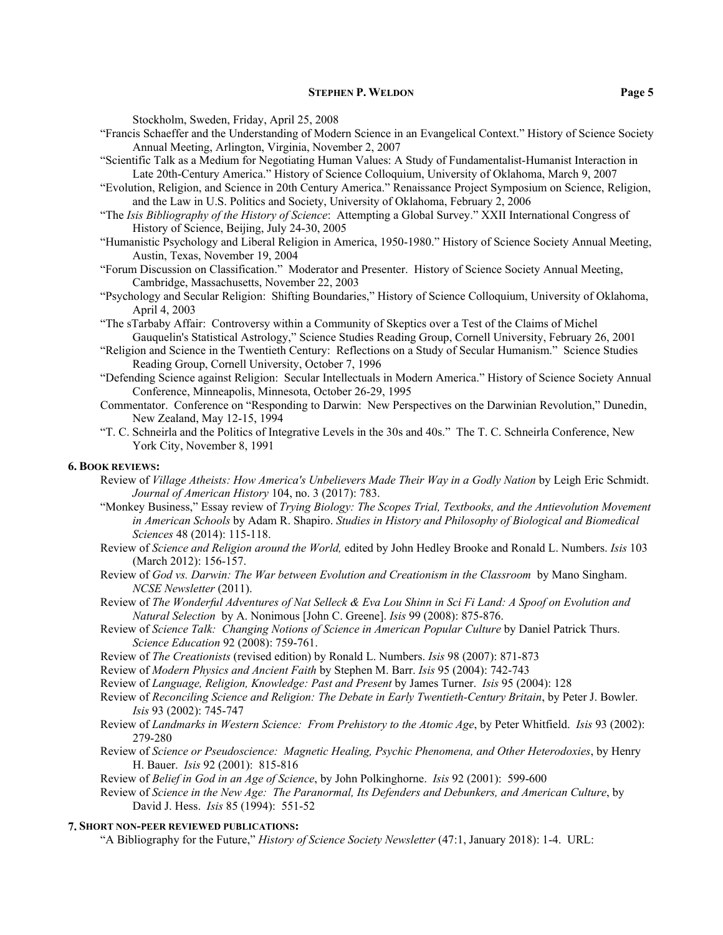Stockholm, Sweden, Friday, April 25, 2008

- "Francis Schaeffer and the Understanding of Modern Science in an Evangelical Context." History of Science Society Annual Meeting, Arlington, Virginia, November 2, 2007
- "Scientific Talk as a Medium for Negotiating Human Values: A Study of Fundamentalist-Humanist Interaction in Late 20th-Century America." History of Science Colloquium, University of Oklahoma, March 9, 2007
- "Evolution, Religion, and Science in 20th Century America." Renaissance Project Symposium on Science, Religion, and the Law in U.S. Politics and Society, University of Oklahoma, February 2, 2006
- "The *Isis Bibliography of the History of Science*: Attempting a Global Survey." XXII International Congress of History of Science, Beijing, July 24-30, 2005
- "Humanistic Psychology and Liberal Religion in America, 1950-1980." History of Science Society Annual Meeting, Austin, Texas, November 19, 2004
- "Forum Discussion on Classification." Moderator and Presenter. History of Science Society Annual Meeting, Cambridge, Massachusetts, November 22, 2003
- "Psychology and Secular Religion: Shifting Boundaries," History of Science Colloquium, University of Oklahoma, April 4, 2003
- "The sTarbaby Affair: Controversy within a Community of Skeptics over a Test of the Claims of Michel Gauquelin's Statistical Astrology," Science Studies Reading Group, Cornell University, February 26, 2001
- "Religion and Science in the Twentieth Century: Reflections on a Study of Secular Humanism." Science Studies Reading Group, Cornell University, October 7, 1996
- "Defending Science against Religion: Secular Intellectuals in Modern America." History of Science Society Annual Conference, Minneapolis, Minnesota, October 26-29, 1995
- Commentator. Conference on "Responding to Darwin: New Perspectives on the Darwinian Revolution," Dunedin, New Zealand, May 12-15, 1994
- "T. C. Schneirla and the Politics of Integrative Levels in the 30s and 40s." The T. C. Schneirla Conference, New York City, November 8, 1991

#### **6. BOOK REVIEWS:**

- Review of *Village Atheists: How America's Unbelievers Made Their Way in a Godly Nation* by Leigh Eric Schmidt. *Journal of American History* 104, no. 3 (2017): 783.
- "Monkey Business," Essay review of *Trying Biology: The Scopes Trial, Textbooks, and the Antievolution Movement in American Schools* by Adam R. Shapiro. *Studies in History and Philosophy of Biological and Biomedical Sciences* 48 (2014): 115-118.
- Review of *Science and Religion around the World,* edited by John Hedley Brooke and Ronald L. Numbers. *Isis* 103 (March 2012): 156-157.
- Review of *God vs. Darwin: The War between Evolution and Creationism in the Classroom* by Mano Singham. *NCSE Newsletter* (2011).
- Review of *The Wonderful Adventures of Nat Selleck & Eva Lou Shinn in Sci Fi Land: A Spoof on Evolution and Natural Selection* by A. Nonimous [John C. Greene]. *Isis* 99 (2008): 875-876.
- Review of *Science Talk: Changing Notions of Science in American Popular Culture* by Daniel Patrick Thurs. *Science Education* 92 (2008): 759-761.
- Review of *The Creationists* (revised edition) by Ronald L. Numbers. *Isis* 98 (2007): 871-873
- Review of *Modern Physics and Ancient Faith* by Stephen M. Barr. *Isis* 95 (2004): 742-743
- Review of *Language, Religion, Knowledge: Past and Present* by James Turner. *Isis* 95 (2004): 128
- Review of *Reconciling Science and Religion: The Debate in Early Twentieth-Century Britain*, by Peter J. Bowler. *Isis* 93 (2002): 745-747
- Review of *Landmarks in Western Science: From Prehistory to the Atomic Age*, by Peter Whitfield. *Isis* 93 (2002): 279-280
- Review of *Science or Pseudoscience: Magnetic Healing, Psychic Phenomena, and Other Heterodoxies*, by Henry H. Bauer. *Isis* 92 (2001): 815-816
- Review of *Belief in God in an Age of Science*, by John Polkinghorne. *Isis* 92 (2001): 599-600
- Review of *Science in the New Age: The Paranormal, Its Defenders and Debunkers, and American Culture*, by David J. Hess. *Isis* 85 (1994): 551-52

#### **7. SHORT NON-PEER REVIEWED PUBLICATIONS:**

"A Bibliography for the Future," *History of Science Society Newsletter* (47:1, January 2018): 1-4. URL: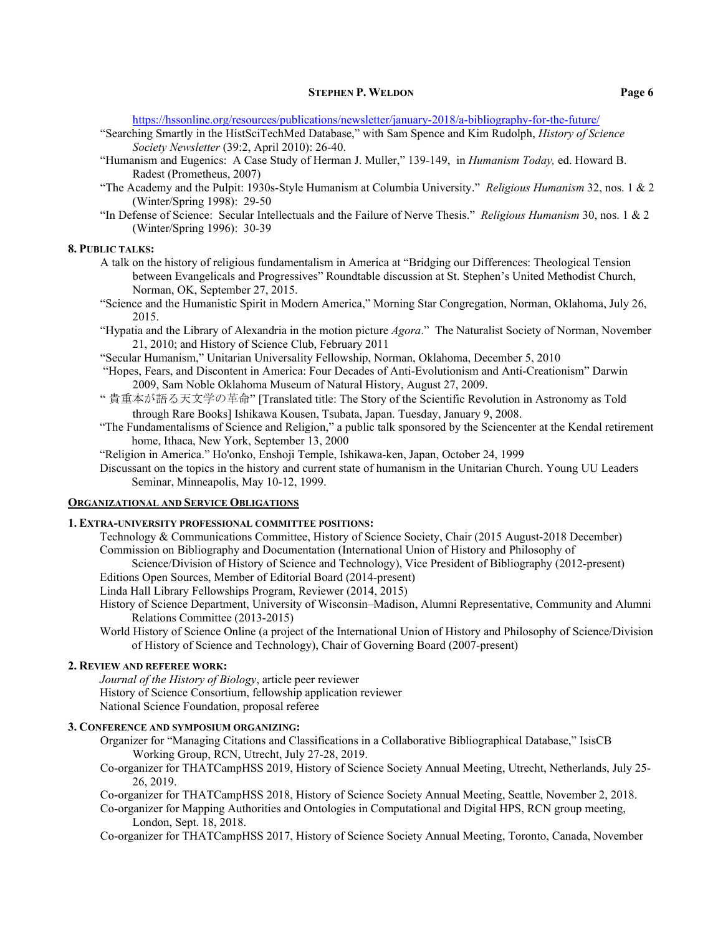<https://hssonline.org/resources/publications/newsletter/january-2018/a-bibliography-for-the-future/>

- "Searching Smartly in the HistSciTechMed Database," with Sam Spence and Kim Rudolph, *History of Science Society Newsletter* (39:2, April 2010): 26-40.
- "Humanism and Eugenics: A Case Study of Herman J. Muller," 139-149, in *Humanism Today,* ed. Howard B. Radest (Prometheus, 2007)
- "The Academy and the Pulpit: 1930s-Style Humanism at Columbia University." *Religious Humanism* 32, nos. 1 & 2 (Winter/Spring 1998): 29-50
- "In Defense of Science: Secular Intellectuals and the Failure of Nerve Thesis." *Religious Humanism* 30, nos. 1 & 2 (Winter/Spring 1996): 30-39

#### **8. PUBLIC TALKS:**

- A talk on the history of religious fundamentalism in America at "Bridging our Differences: Theological Tension between Evangelicals and Progressives" Roundtable discussion at St. Stephen's United Methodist Church, Norman, OK, September 27, 2015.
- "Science and the Humanistic Spirit in Modern America," Morning Star Congregation, Norman, Oklahoma, July 26, 2015.
- "Hypatia and the Library of Alexandria in the motion picture *Agora*." The Naturalist Society of Norman, November 21, 2010; and History of Science Club, February 2011
- "Secular Humanism," Unitarian Universality Fellowship, Norman, Oklahoma, December 5, 2010
- "Hopes, Fears, and Discontent in America: Four Decades of Anti-Evolutionism and Anti-Creationism" Darwin 2009, Sam Noble Oklahoma Museum of Natural History, August 27, 2009.
- " 貴重本が語る天文学の革命" [Translated title: The Story of the Scientific Revolution in Astronomy as Told through Rare Books] Ishikawa Kousen, Tsubata, Japan. Tuesday, January 9, 2008.
- "The Fundamentalisms of Science and Religion," a public talk sponsored by the Sciencenter at the Kendal retirement home, Ithaca, New York, September 13, 2000
- "Religion in America." Ho'onko, Enshoji Temple, Ishikawa-ken, Japan, October 24, 1999
- Discussant on the topics in the history and current state of humanism in the Unitarian Church. Young UU Leaders Seminar, Minneapolis, May 10-12, 1999.

## **ORGANIZATIONAL AND SERVICE OBLIGATIONS**

### **1. EXTRA-UNIVERSITY PROFESSIONAL COMMITTEE POSITIONS:**

- Technology & Communications Committee, History of Science Society, Chair (2015 August-2018 December) Commission on Bibliography and Documentation (International Union of History and Philosophy of
- Science/Division of History of Science and Technology), Vice President of Bibliography (2012-present) Editions Open Sources, Member of Editorial Board (2014-present)
- Linda Hall Library Fellowships Program, Reviewer (2014, 2015)
- History of Science Department, University of Wisconsin–Madison, Alumni Representative, Community and Alumni Relations Committee (2013-2015)
- World History of Science Online (a project of the International Union of History and Philosophy of Science/Division of History of Science and Technology), Chair of Governing Board (2007-present)

# **2. REVIEW AND REFEREE WORK:**

*Journal of the History of Biology*, article peer reviewer History of Science Consortium, fellowship application reviewer National Science Foundation, proposal referee

# **3. CONFERENCE AND SYMPOSIUM ORGANIZING:**

- Organizer for "Managing Citations and Classifications in a Collaborative Bibliographical Database," IsisCB Working Group, RCN, Utrecht, July 27-28, 2019.
- Co-organizer for THATCampHSS 2019, History of Science Society Annual Meeting, Utrecht, Netherlands, July 25- 26, 2019.
- Co-organizer for THATCampHSS 2018, History of Science Society Annual Meeting, Seattle, November 2, 2018. Co-organizer for Mapping Authorities and Ontologies in Computational and Digital HPS, RCN group meeting,

London, Sept. 18, 2018.

Co-organizer for THATCampHSS 2017, History of Science Society Annual Meeting, Toronto, Canada, November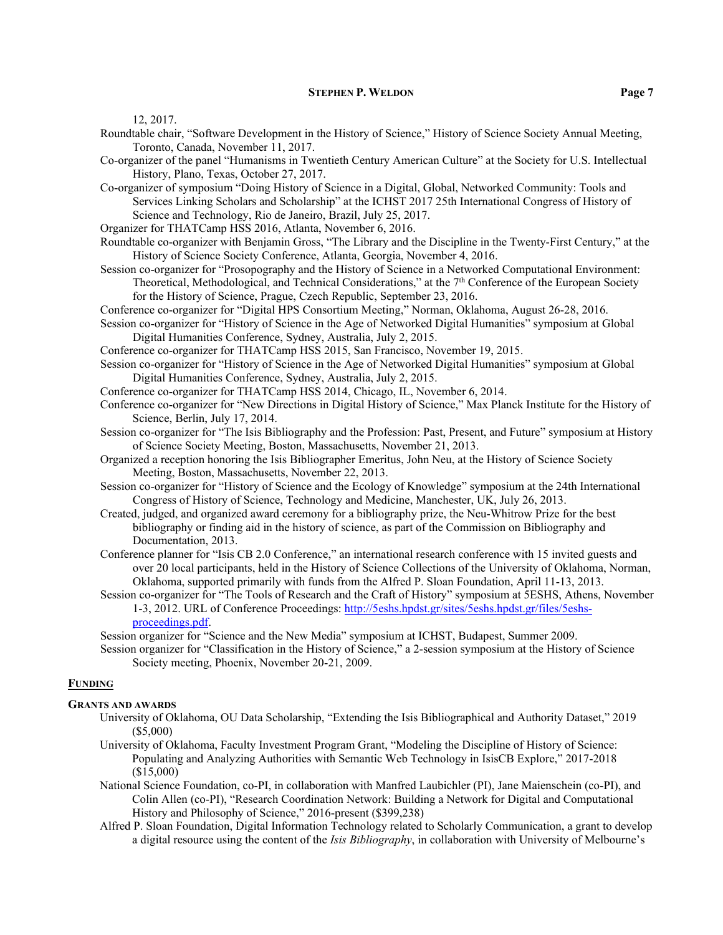12, 2017.

- Roundtable chair, "Software Development in the History of Science," History of Science Society Annual Meeting, Toronto, Canada, November 11, 2017.
- Co-organizer of the panel "Humanisms in Twentieth Century American Culture" at the Society for U.S. Intellectual History, Plano, Texas, October 27, 2017.
- Co-organizer of symposium "Doing History of Science in a Digital, Global, Networked Community: Tools and Services Linking Scholars and Scholarship" at the ICHST 2017 25th International Congress of History of Science and Technology, Rio de Janeiro, Brazil, July 25, 2017.
- Organizer for THATCamp HSS 2016, Atlanta, November 6, 2016.
- Roundtable co-organizer with Benjamin Gross, "The Library and the Discipline in the Twenty-First Century," at the History of Science Society Conference, Atlanta, Georgia, November 4, 2016.
- Session co-organizer for "Prosopography and the History of Science in a Networked Computational Environment: Theoretical, Methodological, and Technical Considerations," at the 7th Conference of the European Society for the History of Science, Prague, Czech Republic, September 23, 2016.

Conference co-organizer for "Digital HPS Consortium Meeting," Norman, Oklahoma, August 26-28, 2016.

Session co-organizer for "History of Science in the Age of Networked Digital Humanities" symposium at Global Digital Humanities Conference, Sydney, Australia, July 2, 2015.

Conference co-organizer for THATCamp HSS 2015, San Francisco, November 19, 2015.

- Session co-organizer for "History of Science in the Age of Networked Digital Humanities" symposium at Global Digital Humanities Conference, Sydney, Australia, July 2, 2015.
- Conference co-organizer for THATCamp HSS 2014, Chicago, IL, November 6, 2014.

Conference co-organizer for "New Directions in Digital History of Science," Max Planck Institute for the History of Science, Berlin, July 17, 2014.

- Session co-organizer for "The Isis Bibliography and the Profession: Past, Present, and Future" symposium at History of Science Society Meeting, Boston, Massachusetts, November 21, 2013.
- Organized a reception honoring the Isis Bibliographer Emeritus, John Neu, at the History of Science Society Meeting, Boston, Massachusetts, November 22, 2013.
- Session co-organizer for "History of Science and the Ecology of Knowledge" symposium at the 24th International Congress of History of Science, Technology and Medicine, Manchester, UK, July 26, 2013.
- Created, judged, and organized award ceremony for a bibliography prize, the Neu-Whitrow Prize for the best bibliography or finding aid in the history of science, as part of the Commission on Bibliography and Documentation, 2013.
- Conference planner for "Isis CB 2.0 Conference," an international research conference with 15 invited guests and over 20 local participants, held in the History of Science Collections of the University of Oklahoma, Norman, Oklahoma, supported primarily with funds from the Alfred P. Sloan Foundation, April 11-13, 2013.
- Session co-organizer for "The Tools of Research and the Craft of History" symposium at 5ESHS, Athens, November 1-3, 2012. URL of Conference Proceedings[: http://5eshs.hpdst.gr/sites/5eshs.hpdst.gr/files/5eshs](http://5eshs.hpdst.gr/sites/5eshs.hpdst.gr/files/5eshs-proceedings.pdf)[proceedings.pdf.](http://5eshs.hpdst.gr/sites/5eshs.hpdst.gr/files/5eshs-proceedings.pdf)

Session organizer for "Science and the New Media" symposium at ICHST, Budapest, Summer 2009.

Session organizer for "Classification in the History of Science," a 2-session symposium at the History of Science Society meeting, Phoenix, November 20-21, 2009.

# **FUNDING**

## **GRANTS AND AWARDS**

- University of Oklahoma, OU Data Scholarship, "Extending the Isis Bibliographical and Authority Dataset," 2019 (\$5,000)
- University of Oklahoma, Faculty Investment Program Grant, "Modeling the Discipline of History of Science: Populating and Analyzing Authorities with Semantic Web Technology in IsisCB Explore," 2017-2018 (\$15,000)
- National Science Foundation, co-PI, in collaboration with Manfred Laubichler (PI), Jane Maienschein (co-PI), and Colin Allen (co-PI), "Research Coordination Network: Building a Network for Digital and Computational History and Philosophy of Science," 2016-present (\$399,238)
- Alfred P. Sloan Foundation, Digital Information Technology related to Scholarly Communication, a grant to develop a digital resource using the content of the *Isis Bibliography*, in collaboration with University of Melbourne's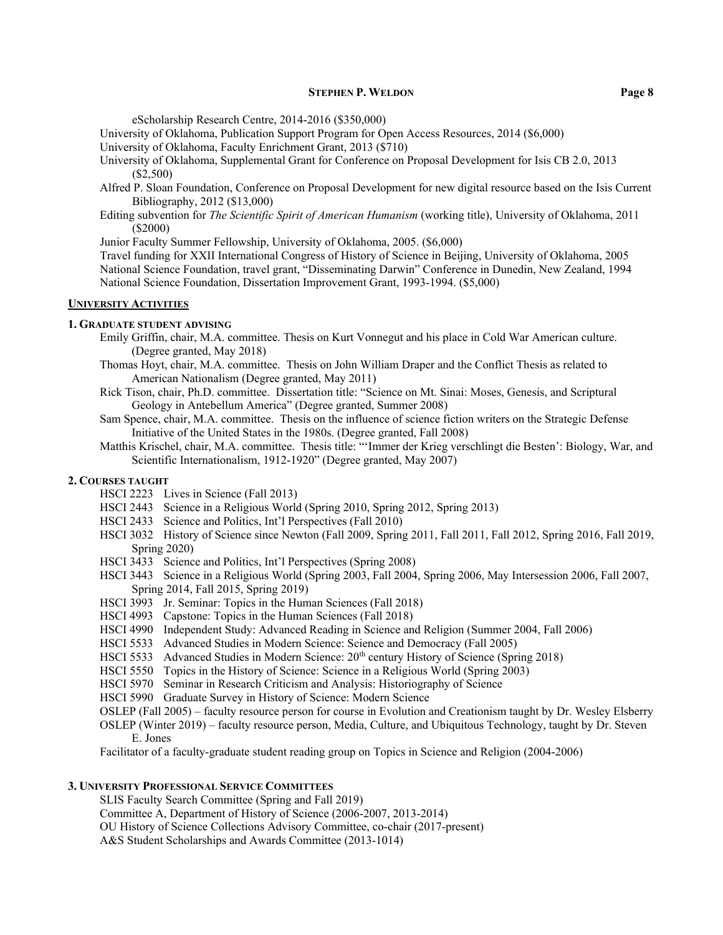eScholarship Research Centre, 2014-2016 (\$350,000)

University of Oklahoma, Publication Support Program for Open Access Resources, 2014 (\$6,000)

University of Oklahoma, Faculty Enrichment Grant, 2013 (\$710)

- University of Oklahoma, Supplemental Grant for Conference on Proposal Development for Isis CB 2.0, 2013 (\$2,500)
- Alfred P. Sloan Foundation, Conference on Proposal Development for new digital resource based on the Isis Current Bibliography, 2012 (\$13,000)
- Editing subvention for *The Scientific Spirit of American Humanism* (working title), University of Oklahoma, 2011 (\$2000)

Junior Faculty Summer Fellowship, University of Oklahoma, 2005. (\$6,000)

Travel funding for XXII International Congress of History of Science in Beijing, University of Oklahoma, 2005 National Science Foundation, travel grant, "Disseminating Darwin" Conference in Dunedin, New Zealand, 1994 National Science Foundation, Dissertation Improvement Grant, 1993-1994. (\$5,000)

# **UNIVERSITY ACTIVITIES**

#### **1. GRADUATE STUDENT ADVISING**

- Emily Griffin, chair, M.A. committee. Thesis on Kurt Vonnegut and his place in Cold War American culture. (Degree granted, May 2018)
- Thomas Hoyt, chair, M.A. committee. Thesis on John William Draper and the Conflict Thesis as related to American Nationalism (Degree granted, May 2011)
- Rick Tison, chair, Ph.D. committee. Dissertation title: "Science on Mt. Sinai: Moses, Genesis, and Scriptural Geology in Antebellum America" (Degree granted, Summer 2008)
- Sam Spence, chair, M.A. committee. Thesis on the influence of science fiction writers on the Strategic Defense Initiative of the United States in the 1980s. (Degree granted, Fall 2008)
- Matthis Krischel, chair, M.A. committee. Thesis title: "ʻImmer der Krieg verschlingt die Besten': Biology, War, and Scientific Internationalism, 1912-1920" (Degree granted, May 2007)

# **2. COURSES TAUGHT**

- HSCI 2223 Lives in Science (Fall 2013)
- HSCI 2443 Science in a Religious World (Spring 2010, Spring 2012, Spring 2013)
- HSCI 2433 Science and Politics, Int'l Perspectives (Fall 2010)
- HSCI 3032 History of Science since Newton (Fall 2009, Spring 2011, Fall 2011, Fall 2012, Spring 2016, Fall 2019, Spring 2020)
- HSCI 3433 Science and Politics, Int'l Perspectives (Spring 2008)
- HSCI 3443 Science in a Religious World (Spring 2003, Fall 2004, Spring 2006, May Intersession 2006, Fall 2007, Spring 2014, Fall 2015, Spring 2019)
- HSCI 3993 Jr. Seminar: Topics in the Human Sciences (Fall 2018)
- HSCI 4993 Capstone: Topics in the Human Sciences (Fall 2018)
- HSCI 4990 Independent Study: Advanced Reading in Science and Religion (Summer 2004, Fall 2006)
- HSCI 5533 Advanced Studies in Modern Science: Science and Democracy (Fall 2005)
- HSCI 5533 Advanced Studies in Modern Science: 20<sup>th</sup> century History of Science (Spring 2018)
- HSCI 5550 Topics in the History of Science: Science in a Religious World (Spring 2003)
- HSCI 5970 Seminar in Research Criticism and Analysis: Historiography of Science
- HSCI 5990 Graduate Survey in History of Science: Modern Science
- OSLEP (Fall 2005) faculty resource person for course in Evolution and Creationism taught by Dr. Wesley Elsberry
- OSLEP (Winter 2019) faculty resource person, Media, Culture, and Ubiquitous Technology, taught by Dr. Steven E. Jones

Facilitator of a faculty-graduate student reading group on Topics in Science and Religion (2004-2006)

# **3. UNIVERSITY PROFESSIONAL SERVICE COMMITTEES**

SLIS Faculty Search Committee (Spring and Fall 2019)

Committee A, Department of History of Science (2006-2007, 2013-2014)

OU History of Science Collections Advisory Committee, co-chair (2017-present)

A&S Student Scholarships and Awards Committee (2013-1014)